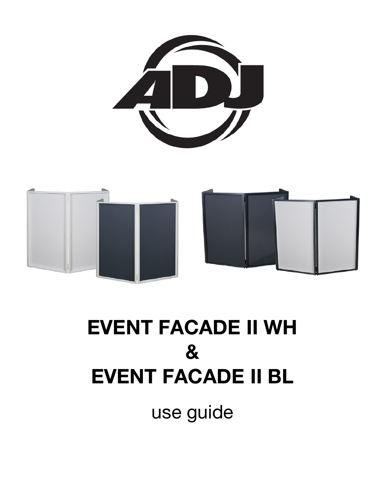



# **EVENT FACADE II WH & EVENT FACADE II BL**

use guide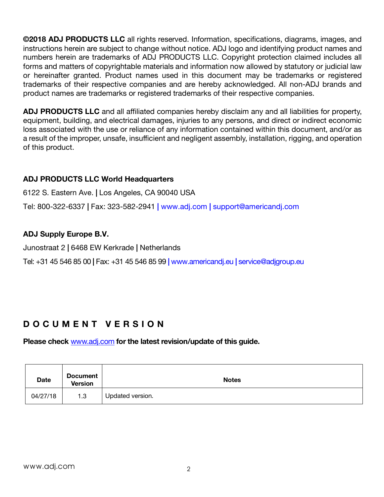**©2018 ADJ PRODUCTS LLC** all rights reserved. Information, specifications, diagrams, images, and instructions herein are subject to change without notice. ADJ logo and identifying product names and numbers herein are trademarks of ADJ PRODUCTS LLC. Copyright protection claimed includes all forms and matters of copyrightable materials and information now allowed by statutory or judicial law or hereinafter granted. Product names used in this document may be trademarks or registered trademarks of their respective companies and are hereby acknowledged. All non-ADJ brands and product names are trademarks or registered trademarks of their respective companies.

**ADJ PRODUCTS LLC** and all affiliated companies hereby disclaim any and all liabilities for property, equipment, building, and electrical damages, injuries to any persons, and direct or indirect economic loss associated with the use or reliance of any information contained within this document, and/or as a result of the improper, unsafe, insufficient and negligent assembly, installation, rigging, and operation of this product.

#### **ADJ PRODUCTS LLC World Headquarters**

6122 S. Eastern Ave. **|** Los Angeles, CA 90040 USA

Tel: 800-322-6337 **|** Fax: 323-582-2941 **|** www.adj.com **|** support@americandj.com

#### **ADJ Supply Europe B.V.**

Junostraat 2 **|** 6468 EW Kerkrade **|** Netherlands

Tel: +31 45 546 85 00 **|** Fax: +31 45 546 85 99 **|** www.americandj.eu **|** service@adjgroup.eu

### **DOCUMENT VERSION**

**Please check** www.adj.com **for the latest revision/update of this guide.**

| <b>Date</b> | <b>Document</b><br><b>Version</b> | <b>Notes</b>     |
|-------------|-----------------------------------|------------------|
| 04/27/18    | 1.3                               | Updated version. |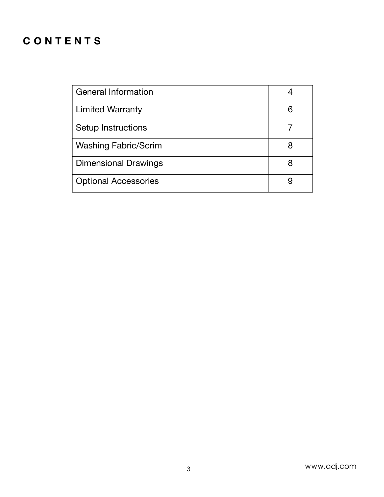## **CONTENTS**

| <b>General Information</b>  |   |
|-----------------------------|---|
| <b>Limited Warranty</b>     | 6 |
| Setup Instructions          |   |
| <b>Washing Fabric/Scrim</b> | 8 |
| <b>Dimensional Drawings</b> | 8 |
| <b>Optional Accessories</b> | 9 |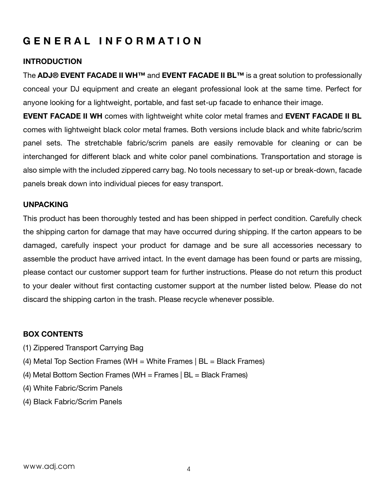## **GENERAL INFORMATION**

#### **INTRODUCTION**

The **ADJ® EVENT FACADE II WH™** and **EVENT FACADE II BL™** is a great solution to professionally conceal your DJ equipment and create an elegant professional look at the same time. Perfect for anyone looking for a lightweight, portable, and fast set-up facade to enhance their image.

**EVENT FACADE II WH** comes with lightweight white color metal frames and **EVENT FACADE II BL** comes with lightweight black color metal frames. Both versions include black and white fabric/scrim panel sets. The stretchable fabric/scrim panels are easily removable for cleaning or can be interchanged for different black and white color panel combinations. Transportation and storage is also simple with the included zippered carry bag. No tools necessary to set-up or break-down, facade panels break down into individual pieces for easy transport.

#### **UNPACKING**

This product has been thoroughly tested and has been shipped in perfect condition. Carefully check the shipping carton for damage that may have occurred during shipping. If the carton appears to be damaged, carefully inspect your product for damage and be sure all accessories necessary to assemble the product have arrived intact. In the event damage has been found or parts are missing, please contact our customer support team for further instructions. Please do not return this product to your dealer without first contacting customer support at the number listed below. Please do not discard the shipping carton in the trash. Please recycle whenever possible.

#### **BOX CONTENTS**

- (1) Zippered Transport Carrying Bag
- (4) Metal Top Section Frames (WH = White Frames  $|BL = Black$  Frames)
- (4) Metal Bottom Section Frames (WH = Frames  $|BL = Black$  Frames)
- (4) White Fabric/Scrim Panels
- (4) Black Fabric/Scrim Panels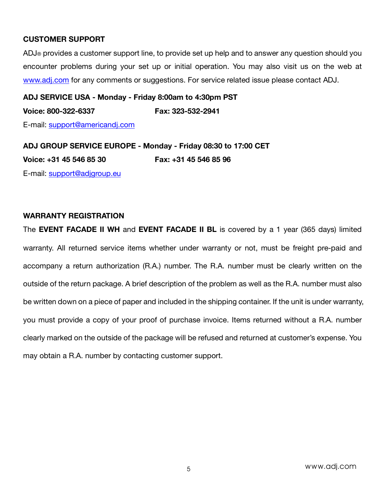#### **CUSTOMER SUPPORT**

ADJ® provides a customer support line, to provide set up help and to answer any question should you encounter problems during your set up or initial operation. You may also visit us on the web at www.adj.com for any comments or suggestions. For service related issue please contact ADJ.

**ADJ SERVICE USA - Monday - Friday 8:00am to 4:30pm PST Voice: 800-322-6337 Fax: 323-532-2941** E-mail: support@americandj.com

**ADJ GROUP SERVICE EUROPE - Monday - Friday 08:30 to 17:00 CET Voice: +31 45 546 85 30 Fax: +31 45 546 85 96** E-mail: support@adjgroup.eu

#### **WARRANTY REGISTRATION**

The **EVENT FACADE II WH** and **EVENT FACADE II BL** is covered by a 1 year (365 days) limited warranty. All returned service items whether under warranty or not, must be freight pre-paid and accompany a return authorization (R.A.) number. The R.A. number must be clearly written on the outside of the return package. A brief description of the problem as well as the R.A. number must also be written down on a piece of paper and included in the shipping container. If the unit is under warranty, you must provide a copy of your proof of purchase invoice. Items returned without a R.A. number clearly marked on the outside of the package will be refused and returned at customer's expense. You may obtain a R.A. number by contacting customer support.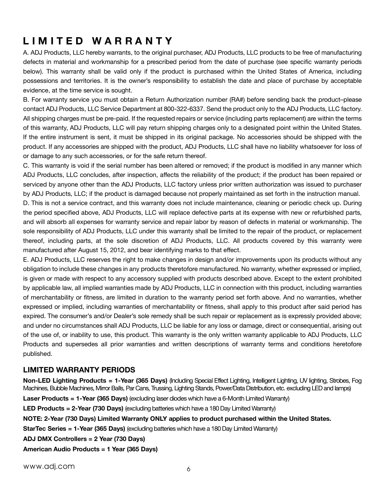## **LIMITED WARRANTY**

A. ADJ Products, LLC hereby warrants, to the original purchaser, ADJ Products, LLC products to be free of manufacturing defects in material and workmanship for a prescribed period from the date of purchase (see specific warranty periods below). This warranty shall be valid only if the product is purchased within the United States of America, including possessions and territories. It is the owner's responsibility to establish the date and place of purchase by acceptable evidence, at the time service is sought.

B. For warranty service you must obtain a Return Authorization number (RA#) before sending back the product–please contact ADJ Products, LLC Service Department at 800-322-6337. Send the product only to the ADJ Products, LLC factory. All shipping charges must be pre-paid. If the requested repairs or service (including parts replacement) are within the terms of this warranty, ADJ Products, LLC will pay return shipping charges only to a designated point within the United States. If the entire instrument is sent, it must be shipped in its original package. No accessories should be shipped with the product. If any accessories are shipped with the product, ADJ Products, LLC shall have no liability whatsoever for loss of or damage to any such accessories, or for the safe return thereof.

C. This warranty is void if the serial number has been altered or removed; if the product is modified in any manner which ADJ Products, LLC concludes, after inspection, affects the reliability of the product; if the product has been repaired or serviced by anyone other than the ADJ Products, LLC factory unless prior written authorization was issued to purchaser by ADJ Products, LLC; if the product is damaged because not properly maintained as set forth in the instruction manual.

D. This is not a service contract, and this warranty does not include maintenance, cleaning or periodic check up. During the period specified above, ADJ Products, LLC will replace defective parts at its expense with new or refurbished parts, and will absorb all expenses for warranty service and repair labor by reason of defects in material or workmanship. The sole responsibility of ADJ Products, LLC under this warranty shall be limited to the repair of the product, or replacement thereof, including parts, at the sole discretion of ADJ Products, LLC. All products covered by this warranty were manufactured after August 15, 2012, and bear identifying marks to that effect.

E. ADJ Products, LLC reserves the right to make changes in design and/or improvements upon its products without any obligation to include these changes in any products theretofore manufactured. No warranty, whether expressed or implied, is given or made with respect to any accessory supplied with products described above. Except to the extent prohibited by applicable law, all implied warranties made by ADJ Products, LLC in connection with this product, including warranties of merchantability or fitness, are limited in duration to the warranty period set forth above. And no warranties, whether expressed or implied, including warranties of merchantability or fitness, shall apply to this product after said period has expired. The consumer's and/or Dealer's sole remedy shall be such repair or replacement as is expressly provided above; and under no circumstances shall ADJ Products, LLC be liable for any loss or damage, direct or consequential, arising out of the use of, or inability to use, this product. This warranty is the only written warranty applicable to ADJ Products, LLC Products and supersedes all prior warranties and written descriptions of warranty terms and conditions heretofore published.

#### **LIMITED WARRANTY PERIODS**

**Non-LED Lighting Products = 1-Year (365 Days)** (Including Special Effect Lighting, Intelligent Lighting, UV lighting, Strobes, Fog Machines, Bubble Machines, Mirror Balls, Par Cans, Trussing, Lighting Stands, Power/Data Distribution, etc. excluding LED and lamps) Laser Products = 1-Year (365 Days) (excluding laser diodes which have a 6-Month Limited Warranty) **LED Products = 2-Year (730 Days)** (excluding batteries which have a 180 Day Limited Warranty) **NOTE: 2-Year (730 Days) Limited Warranty ONLY applies to product purchased within the United States. StarTec Series = 1-Year (365 Days)** (excluding batteries which have a 180 Day Limited Warranty) **ADJ DMX Controllers = 2 Year (730 Days) American Audio Products = 1 Year (365 Days)**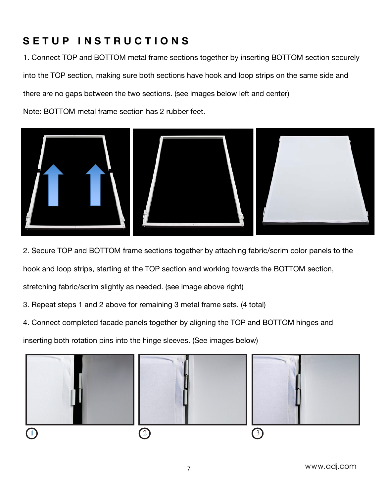## **SETUP INSTRUCTIONS**

1. Connect TOP and BOTTOM metal frame sections together by inserting BOTTOM section securely into the TOP section, making sure both sections have hook and loop strips on the same side and there are no gaps between the two sections. (see images below left and center)

Note: BOTTOM metal frame section has 2 rubber feet.



2. Secure TOP and BOTTOM frame sections together by attaching fabric/scrim color panels to the

hook and loop strips, starting at the TOP section and working towards the BOTTOM section,

stretching fabric/scrim slightly as needed. (see image above right)

- 3. Repeat steps 1 and 2 above for remaining 3 metal frame sets. (4 total)
- 4. Connect completed facade panels together by aligning the TOP and BOTTOM hinges and

inserting both rotation pins into the hinge sleeves. (See images below)

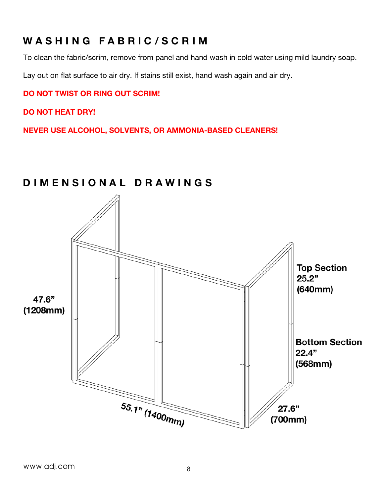## **W ASHING FABRIC/ SCRIM**

To clean the fabric/scrim, remove from panel and hand wash in cold water using mild laundry soap.

Lay out on flat surface to air dry. If stains still exist, hand wash again and air dry.

#### **DO NOT TWIST OR RING OUT SCRIM!**

**DO NOT HEAT DRY!**

**NEVER USE ALCOHOL, SOLVENTS, OR AMMONIA-BASED CLEANERS!**

## **Top Section**  $25.2"$  $(640mm)$ 47.6"  $(1208mm)$ **Bottom Section**  $22.4"$  $(568mm)$ 55.1" (1400mm)  $27.6"$  $(700mm)$

## **DIMENSIONAL DRAWINGS**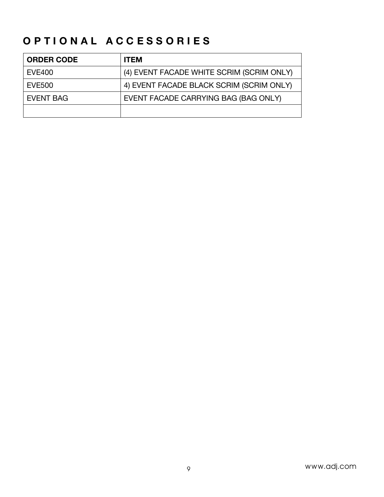## **OPTIONAL ACCESSORIES**

| <b>ORDER CODE</b> | <b>ITEM</b>                               |
|-------------------|-------------------------------------------|
| <b>EVE400</b>     | (4) EVENT FACADE WHITE SCRIM (SCRIM ONLY) |
| <b>EVE500</b>     | 4) EVENT FACADE BLACK SCRIM (SCRIM ONLY)  |
| EVENT BAG         | EVENT FACADE CARRYING BAG (BAG ONLY)      |
|                   |                                           |